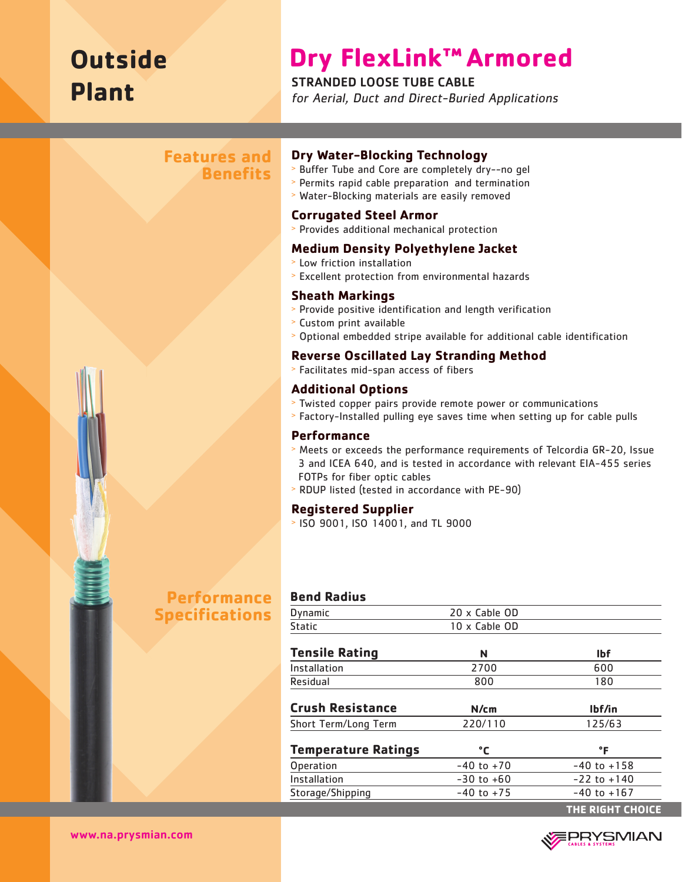# **Outside Plant**

## **Dry FlexLink™ Armored**

### STRANDED LOOSE TUBE CABLE

for Aerial, Duct and Direct-Buried Applications

## **Features and Benefits**



#### **Dry Water-Blocking Technology**

- <sup>&</sup>gt; Buffer Tube and Core are completely dry--no gel
- <sup>&</sup>gt; Permits rapid cable preparation and termination
- <sup>&</sup>gt; Water-Blocking materials are easily removed

#### **Corrugated Steel Armor**

<sup>&</sup>gt; Provides additional mechanical protection

#### **Medium Density Polyethylene Jacket**

- <sup>&</sup>gt; Low friction installation
- <sup>&</sup>gt; Excellent protection from environmental hazards

#### **Sheath Markings**

- <sup>&</sup>gt; Provide positive identification and length verification
- <sup>&</sup>gt; Custom print available
- <sup>&</sup>gt; Optional embedded stripe available for additional cable identification

#### **Reverse Oscillated Lay Stranding Method**

<sup>&</sup>gt; Facilitates mid-span access of fibers

#### **Additional Options**

- <sup>&</sup>gt; Twisted copper pairs provide remote power or communications
- <sup>&</sup>gt; Factory-Installed pulling eye saves time when setting up for cable pulls

#### **Performance**

- <sup>&</sup>gt; Meets or exceeds the performance requirements of Telcordia GR-20, Issue 3 and ICEA 640, and is tested in accordance with relevant EIA-455 series FOTPs for fiber optic cables
- <sup>&</sup>gt; RDUP listed (tested in accordance with PE-90)

#### **Registered Supplier**

<sup>&</sup>gt; ISO 9001, ISO 14001, and TL 9000

## **Performance Specifications**

#### **Bend Radius**

| Dynamic                    | 20 x Cable OD  |                  |  |
|----------------------------|----------------|------------------|--|
| <b>Static</b>              | 10 x Cable OD  |                  |  |
| <b>Tensile Rating</b>      | N              | <b>Ibf</b>       |  |
| Installation               | 2700           | 600              |  |
| Residual                   | 800            | 180              |  |
| <b>Crush Resistance</b>    | N/cm           | lbf/in           |  |
| Short Term/Long Term       | 220/110        | 125/63           |  |
| <b>Temperature Ratings</b> | °C             | °F               |  |
| Operation                  | $-40$ to $+70$ | $-40$ to $+158$  |  |
| Installation               | $-30$ to $+60$ | $-22$ to $+140$  |  |
| Storage/Shipping           | $-40$ to $+75$ | $-40$ to $+167$  |  |
|                            |                | THE RIGHT CHOICE |  |



www.na.prysmian.com